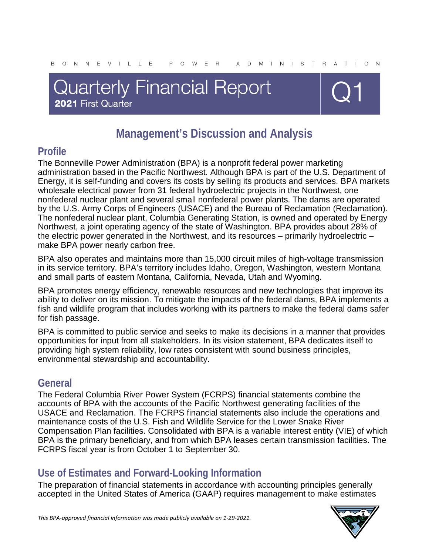# **Quarterly Financial Report** 2021 First Quarter



## **Management's Discussion and Analysis**

## **Profile**

The Bonneville Power Administration (BPA) is a nonprofit federal power marketing administration based in the Pacific Northwest. Although BPA is part of the U.S. Department of Energy, it is self-funding and covers its costs by selling its products and services. BPA markets wholesale electrical power from 31 federal hydroelectric projects in the Northwest, one nonfederal nuclear plant and several small nonfederal power plants. The dams are operated by the U.S. Army Corps of Engineers (USACE) and the Bureau of Reclamation (Reclamation). The nonfederal nuclear plant, Columbia Generating Station, is owned and operated by Energy Northwest, a joint operating agency of the state of Washington. BPA provides about 28% of the electric power generated in the Northwest, and its resources – primarily hydroelectric – make BPA power nearly carbon free.

BPA also operates and maintains more than 15,000 circuit miles of high-voltage transmission in its service territory. BPA's territory includes Idaho, Oregon, Washington, western Montana and small parts of eastern Montana, California, Nevada, Utah and Wyoming.

BPA promotes energy efficiency, renewable resources and new technologies that improve its ability to deliver on its mission. To mitigate the impacts of the federal dams, BPA implements a fish and wildlife program that includes working with its partners to make the federal dams safer for fish passage.

BPA is committed to public service and seeks to make its decisions in a manner that provides opportunities for input from all stakeholders. In its vision statement, BPA dedicates itself to providing high system reliability, low rates consistent with sound business principles, environmental stewardship and accountability.

### **General**

The Federal Columbia River Power System (FCRPS) financial statements combine the accounts of BPA with the accounts of the Pacific Northwest generating facilities of the USACE and Reclamation. The FCRPS financial statements also include the operations and maintenance costs of the U.S. Fish and Wildlife Service for the Lower Snake River Compensation Plan facilities. Consolidated with BPA is a variable interest entity (VIE) of which BPA is the primary beneficiary, and from which BPA leases certain transmission facilities. The FCRPS fiscal year is from October 1 to September 30.

### **Use of Estimates and Forward-Looking Information**

The preparation of financial statements in accordance with accounting principles generally accepted in the United States of America (GAAP) requires management to make estimates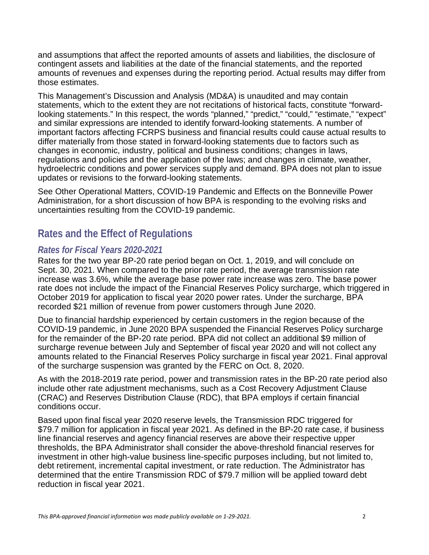and assumptions that affect the reported amounts of assets and liabilities, the disclosure of contingent assets and liabilities at the date of the financial statements, and the reported amounts of revenues and expenses during the reporting period. Actual results may differ from those estimates.

This Management's Discussion and Analysis (MD&A) is unaudited and may contain statements, which to the extent they are not recitations of historical facts, constitute "forwardlooking statements." In this respect, the words "planned," "predict," "could," "estimate," "expect" and similar expressions are intended to identify forward-looking statements. A number of important factors affecting FCRPS business and financial results could cause actual results to differ materially from those stated in forward-looking statements due to factors such as changes in economic, industry, political and business conditions; changes in laws, regulations and policies and the application of the laws; and changes in climate, weather, hydroelectric conditions and power services supply and demand. BPA does not plan to issue updates or revisions to the forward-looking statements.

See Other Operational Matters, COVID-19 Pandemic and Effects on the Bonneville Power Administration, for a short discussion of how BPA is responding to the evolving risks and uncertainties resulting from the COVID-19 pandemic.

### **Rates and the Effect of Regulations**

#### *Rates for Fiscal Years 2020-2021*

Rates for the two year BP-20 rate period began on Oct. 1, 2019, and will conclude on Sept. 30, 2021. When compared to the prior rate period, the average transmission rate increase was 3.6%, while the average base power rate increase was zero. The base power rate does not include the impact of the Financial Reserves Policy surcharge, which triggered in October 2019 for application to fiscal year 2020 power rates. Under the surcharge, BPA recorded \$21 million of revenue from power customers through June 2020.

Due to financial hardship experienced by certain customers in the region because of the COVID-19 pandemic, in June 2020 BPA suspended the Financial Reserves Policy surcharge for the remainder of the BP-20 rate period. BPA did not collect an additional \$9 million of surcharge revenue between July and September of fiscal year 2020 and will not collect any amounts related to the Financial Reserves Policy surcharge in fiscal year 2021. Final approval of the surcharge suspension was granted by the FERC on Oct. 8, 2020.

As with the 2018-2019 rate period, power and transmission rates in the BP-20 rate period also include other rate adjustment mechanisms, such as a Cost Recovery Adjustment Clause (CRAC) and Reserves Distribution Clause (RDC), that BPA employs if certain financial conditions occur.

Based upon final fiscal year 2020 reserve levels, the Transmission RDC triggered for \$79.7 million for application in fiscal year 2021. As defined in the BP-20 rate case, if business line financial reserves and agency financial reserves are above their respective upper thresholds, the BPA Administrator shall consider the above-threshold financial reserves for investment in other high-value business line-specific purposes including, but not limited to, debt retirement, incremental capital investment, or rate reduction. The Administrator has determined that the entire Transmission RDC of \$79.7 million will be applied toward debt reduction in fiscal year 2021.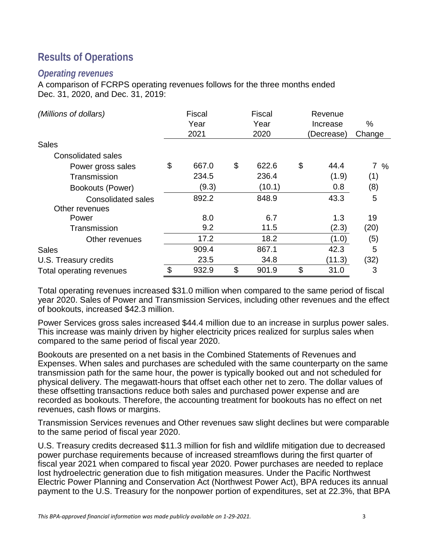## **Results of Operations**

#### *Operating revenues*

A comparison of FCRPS operating revenues follows for the three months ended Dec. 31, 2020, and Dec. 31, 2019:

| (Millions of dollars)           | <b>Fiscal</b><br>Year<br>2021 | Fiscal<br>Year<br>2020 |                       | Revenue<br>Increase<br>(Decrease) | $\%$<br>Change |
|---------------------------------|-------------------------------|------------------------|-----------------------|-----------------------------------|----------------|
| <b>Sales</b>                    |                               |                        |                       |                                   |                |
| <b>Consolidated sales</b>       |                               |                        |                       |                                   |                |
| Power gross sales               | \$<br>667.0                   | \$<br>622.6            | \$                    | 44.4                              | $7\%$          |
| Transmission                    | 234.5                         | 236.4                  |                       | (1.9)                             | (1)            |
| Bookouts (Power)                | (9.3)                         | (10.1)                 |                       | 0.8                               | (8)            |
| <b>Consolidated sales</b>       | 892.2                         | 848.9                  |                       | 43.3                              | 5              |
| Other revenues                  |                               |                        |                       |                                   |                |
| Power                           | 8.0                           | 6.7                    |                       | 1.3                               | 19             |
| Transmission                    | 9.2                           | 11.5                   |                       | (2.3)                             | (20)           |
| Other revenues                  | 17.2                          | 18.2                   |                       | (1.0)                             | (5)            |
| <b>Sales</b>                    | 909.4                         | 867.1                  |                       | 42.3                              | 5              |
| U.S. Treasury credits           | 23.5                          | 34.8                   |                       | (11.3)                            | (32)           |
| <b>Total operating revenues</b> | \$<br>932.9                   | \$<br>901.9            | $\boldsymbol{\theta}$ | 31.0                              | 3              |

Total operating revenues increased \$31.0 million when compared to the same period of fiscal year 2020. Sales of Power and Transmission Services, including other revenues and the effect of bookouts, increased \$42.3 million.

Power Services gross sales increased \$44.4 million due to an increase in surplus power sales. This increase was mainly driven by higher electricity prices realized for surplus sales when compared to the same period of fiscal year 2020.

Bookouts are presented on a net basis in the Combined Statements of Revenues and Expenses. When sales and purchases are scheduled with the same counterparty on the same transmission path for the same hour, the power is typically booked out and not scheduled for physical delivery. The megawatt-hours that offset each other net to zero. The dollar values of these offsetting transactions reduce both sales and purchased power expense and are recorded as bookouts. Therefore, the accounting treatment for bookouts has no effect on net revenues, cash flows or margins.

Transmission Services revenues and Other revenues saw slight declines but were comparable to the same period of fiscal year 2020.

U.S. Treasury credits decreased \$11.3 million for fish and wildlife mitigation due to decreased power purchase requirements because of increased streamflows during the first quarter of fiscal year 2021 when compared to fiscal year 2020. Power purchases are needed to replace lost hydroelectric generation due to fish mitigation measures. Under the Pacific Northwest Electric Power Planning and Conservation Act (Northwest Power Act), BPA reduces its annual payment to the U.S. Treasury for the nonpower portion of expenditures, set at 22.3%, that BPA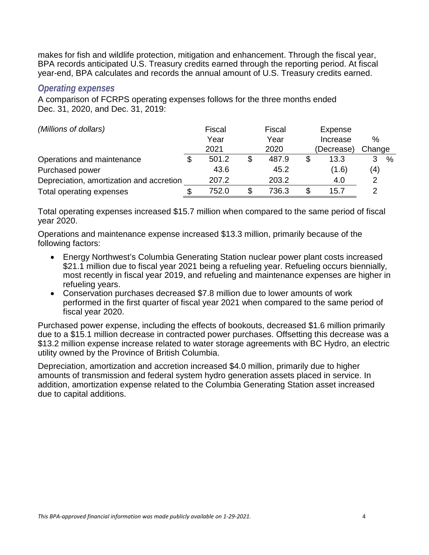makes for fish and wildlife protection, mitigation and enhancement. Through the fiscal year, BPA records anticipated U.S. Treasury credits earned through the reporting period. At fiscal year-end, BPA calculates and records the annual amount of U.S. Treasury credits earned.

#### *Operating expenses*

A comparison of FCRPS operating expenses follows for the three months ended Dec. 31, 2020, and Dec. 31, 2019:

| (Millions of dollars)                    | Fiscal | Fiscal      |    | Expense    |        |   |
|------------------------------------------|--------|-------------|----|------------|--------|---|
|                                          | Year   | Year        |    | Increase   | $\%$   |   |
|                                          | 2021   | 2020        |    | (Decrease) | Change |   |
| Operations and maintenance               | 501.2  | \$<br>487.9 | S  | 13.3       | 3      | % |
| Purchased power                          | 43.6   | 45.2        |    | (1.6)      | (4)    |   |
| Depreciation, amortization and accretion | 207.2  | 203.2       |    | 4.0        | 2      |   |
| Total operating expenses                 | 752.0  | \$<br>736.3 | \$ | 15.7       | 2      |   |

Total operating expenses increased \$15.7 million when compared to the same period of fiscal year 2020.

Operations and maintenance expense increased \$13.3 million, primarily because of the following factors:

- Energy Northwest's Columbia Generating Station nuclear power plant costs increased \$21.1 million due to fiscal year 2021 being a refueling year. Refueling occurs biennially, most recently in fiscal year 2019, and refueling and maintenance expenses are higher in refueling years.
- Conservation purchases decreased \$7.8 million due to lower amounts of work performed in the first quarter of fiscal year 2021 when compared to the same period of fiscal year 2020.

Purchased power expense, including the effects of bookouts, decreased \$1.6 million primarily due to a \$15.1 million decrease in contracted power purchases. Offsetting this decrease was a \$13.2 million expense increase related to water storage agreements with BC Hydro, an electric utility owned by the Province of British Columbia.

Depreciation, amortization and accretion increased \$4.0 million, primarily due to higher amounts of transmission and federal system hydro generation assets placed in service. In addition, amortization expense related to the Columbia Generating Station asset increased due to capital additions.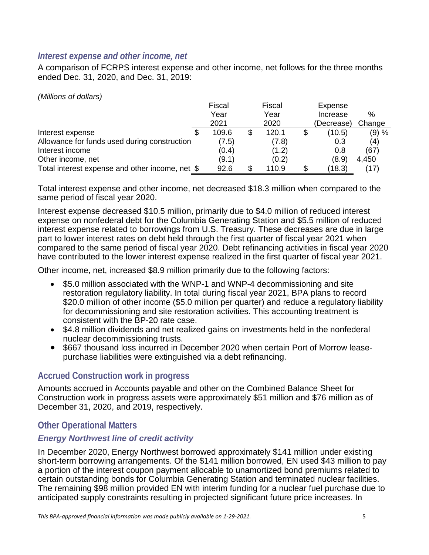#### *Interest expense and other income, net*

A comparison of FCRPS interest expense and other income, net follows for the three months ended Dec. 31, 2020, and Dec. 31, 2019:

*(Millions of dollars)*

|                                                 | Fiscal | Fiscal |    | Expense    |        |
|-------------------------------------------------|--------|--------|----|------------|--------|
|                                                 | Year   | Year   |    | Increase   | %      |
|                                                 | 2021   | 2020   |    | (Decrease) | Change |
| Interest expense                                | 109.6  | 120.1  |    | (10.5)     | (9) %  |
| Allowance for funds used during construction    | (7.5)  | (7.8)  |    | 0.3        | (4)    |
| Interest income                                 | (0.4)  | (1.2)  |    | 0.8        | (67)   |
| Other income, net                               | (9.1)  | (0.2)  |    | (8.9)      | 4,450  |
| Total interest expense and other income, net \$ | 92.6   | 110.9  | S. | (18.3)     |        |

Total interest expense and other income, net decreased \$18.3 million when compared to the same period of fiscal year 2020.

Interest expense decreased \$10.5 million, primarily due to \$4.0 million of reduced interest expense on nonfederal debt for the Columbia Generating Station and \$5.5 million of reduced interest expense related to borrowings from U.S. Treasury. These decreases are due in large part to lower interest rates on debt held through the first quarter of fiscal year 2021 when compared to the same period of fiscal year 2020. Debt refinancing activities in fiscal year 2020 have contributed to the lower interest expense realized in the first quarter of fiscal year 2021.

Other income, net, increased \$8.9 million primarily due to the following factors:

- \$5.0 million associated with the WNP-1 and WNP-4 decommissioning and site restoration regulatory liability. In total during fiscal year 2021, BPA plans to record \$20.0 million of other income (\$5.0 million per quarter) and reduce a regulatory liability for decommissioning and site restoration activities. This accounting treatment is consistent with the BP-20 rate case.
- \$4.8 million dividends and net realized gains on investments held in the nonfederal nuclear decommissioning trusts.
- \$667 thousand loss incurred in December 2020 when certain Port of Morrow leasepurchase liabilities were extinguished via a debt refinancing.

#### **Accrued Construction work in progress**

Amounts accrued in Accounts payable and other on the Combined Balance Sheet for Construction work in progress assets were approximately \$51 million and \$76 million as of December 31, 2020, and 2019, respectively.

#### **Other Operational Matters**

#### *Energy Northwest line of credit activity*

In December 2020, Energy Northwest borrowed approximately \$141 million under existing short-term borrowing arrangements. Of the \$141 million borrowed, EN used \$43 million to pay a portion of the interest coupon payment allocable to unamortized bond premiums related to certain outstanding bonds for Columbia Generating Station and terminated nuclear facilities. The remaining \$98 million provided EN with interim funding for a nuclear fuel purchase due to anticipated supply constraints resulting in projected significant future price increases. In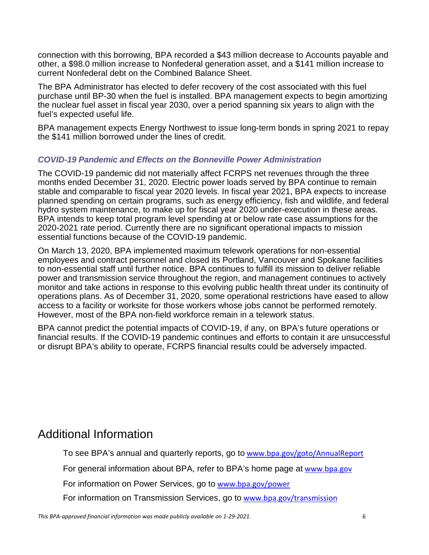connection with this borrowing, BPA recorded a \$43 million decrease to Accounts payable and other, a \$98.0 million increase to Nonfederal generation asset, and a \$141 million increase to current Nonfederal debt on the Combined Balance Sheet.

The BPA Administrator has elected to defer recovery of the cost associated with this fuel purchase until BP-30 when the fuel is installed. BPA management expects to begin amortizing the nuclear fuel asset in fiscal year 2030, over a period spanning six years to align with the fuel's expected useful life.

BPA management expects Energy Northwest to issue long-term bonds in spring 2021 to repay the \$141 million borrowed under the lines of credit.

#### *COVID-19 Pandemic and Effects on the Bonneville Power Administration*

The COVID-19 pandemic did not materially affect FCRPS net revenues through the three months ended December 31, 2020. Electric power loads served by BPA continue to remain stable and comparable to fiscal year 2020 levels. In fiscal year 2021, BPA expects to increase planned spending on certain programs, such as energy efficiency, fish and wildlife, and federal hydro system maintenance, to make up for fiscal year 2020 under-execution in these areas. BPA intends to keep total program level spending at or below rate case assumptions for the 2020-2021 rate period. Currently there are no significant operational impacts to mission essential functions because of the COVID-19 pandemic.

On March 13, 2020, BPA implemented maximum telework operations for non-essential employees and contract personnel and closed its Portland, Vancouver and Spokane facilities to non-essential staff until further notice. BPA continues to fulfill its mission to deliver reliable power and transmission service throughout the region, and management continues to actively monitor and take actions in response to this evolving public health threat under its continuity of operations plans. As of December 31, 2020, some operational restrictions have eased to allow access to a facility or worksite for those workers whose jobs cannot be performed remotely. However, most of the BPA non-field workforce remain in a telework status.

BPA cannot predict the potential impacts of COVID-19, if any, on BPA's future operations or financial results. If the COVID-19 pandemic continues and efforts to contain it are unsuccessful or disrupt BPA's ability to operate, FCRPS financial results could be adversely impacted.

## Additional Information

To see BPA's annual and quarterly reports, go to [www.bpa.gov/goto/AnnualReport](http://www.bpa.gov/goto/AnnualReport)

For general information about BPA, refer to BPA's home page at [www.bpa.gov](http://www.bpa.gov/)

For information on Power Services, go to [www.bpa.gov/power](http://www.bpa.gov/power)

For information on Transmission Services, go to [www.bpa.gov/transmission](http://www.bpa.gov/transmission)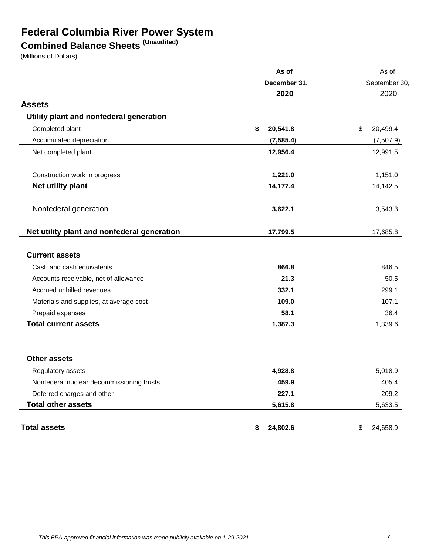## **Federal Columbia River Power System**

## **Combined Balance Sheets (Unaudited)**

(Millions of Dollars)

|                                             | As of          | As of          |
|---------------------------------------------|----------------|----------------|
|                                             | December 31,   | September 30,  |
|                                             | 2020           | 2020           |
| <b>Assets</b>                               |                |                |
| Utility plant and nonfederal generation     |                |                |
| Completed plant                             | \$<br>20,541.8 | \$<br>20,499.4 |
| Accumulated depreciation                    | (7, 585.4)     | (7,507.9)      |
| Net completed plant                         | 12,956.4       | 12,991.5       |
| Construction work in progress               | 1,221.0        | 1,151.0        |
| Net utility plant                           | 14,177.4       | 14,142.5       |
| Nonfederal generation                       | 3,622.1        | 3,543.3        |
| Net utility plant and nonfederal generation | 17,799.5       | 17,685.8       |
| <b>Current assets</b>                       |                |                |
| Cash and cash equivalents                   | 866.8          | 846.5          |
| Accounts receivable, net of allowance       | 21.3           | 50.5           |
| Accrued unbilled revenues                   | 332.1          | 299.1          |
| Materials and supplies, at average cost     | 109.0          | 107.1          |
| Prepaid expenses                            | 58.1           | 36.4           |
| <b>Total current assets</b>                 | 1,387.3        | 1,339.6        |
| <b>Other assets</b>                         |                |                |
| Regulatory assets                           | 4,928.8        | 5,018.9        |
| Nonfederal nuclear decommissioning trusts   | 459.9          | 405.4          |
| Deferred charges and other                  | 227.1          | 209.2          |
| <b>Total other assets</b>                   | 5,615.8        | 5,633.5        |
| <b>Total assets</b>                         | \$<br>24,802.6 | \$<br>24,658.9 |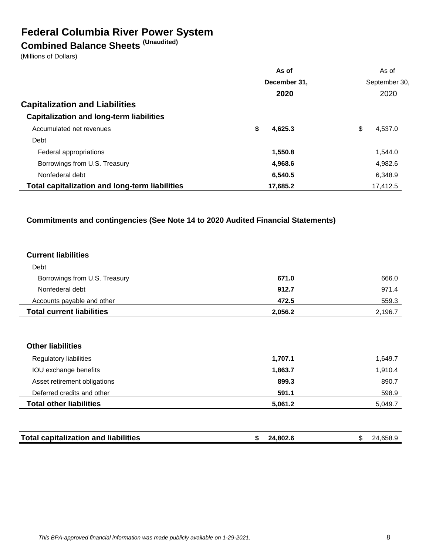## **Federal Columbia River Power System**

## **Combined Balance Sheets (Unaudited)**

(Millions of Dollars)

|                                                       | As of         | As of         |
|-------------------------------------------------------|---------------|---------------|
|                                                       | December 31,  | September 30, |
|                                                       | 2020          | 2020          |
| <b>Capitalization and Liabilities</b>                 |               |               |
| <b>Capitalization and long-term liabilities</b>       |               |               |
| Accumulated net revenues                              | \$<br>4,625.3 | \$<br>4.537.0 |
| Debt                                                  |               |               |
| Federal appropriations                                | 1,550.8       | 1,544.0       |
| Borrowings from U.S. Treasury                         | 4,968.6       | 4,982.6       |
| Nonfederal debt                                       | 6,540.5       | 6,348.9       |
| <b>Total capitalization and long-term liabilities</b> | 17,685.2      | 17.412.5      |

#### **Commitments and contingencies (See Note 14 to 2020 Audited Financial Statements)**

#### **Current liabilities**

| <b>Total current liabilities</b> | 2,056.2 | 2,196.7 |
|----------------------------------|---------|---------|
| Accounts payable and other       | 472.5   | 559.3   |
| Nonfederal debt                  | 912.7   | 971.4   |
| Borrowings from U.S. Treasury    | 671.0   | 666.0   |
| Debt                             |         |         |

#### **Other liabilities**

| Regulatory liabilities         | 1,707.1 | 1.649.7 |
|--------------------------------|---------|---------|
| IOU exchange benefits          | 1,863.7 | 1.910.4 |
| Asset retirement obligations   | 899.3   | 890.7   |
| Deferred credits and other     | 591.1   | 598.9   |
| <b>Total other liabilities</b> | 5,061.2 | 5.049.7 |

| <b>Total capitalization and liabilities</b><br>24,802.ບ |
|---------------------------------------------------------|
|---------------------------------------------------------|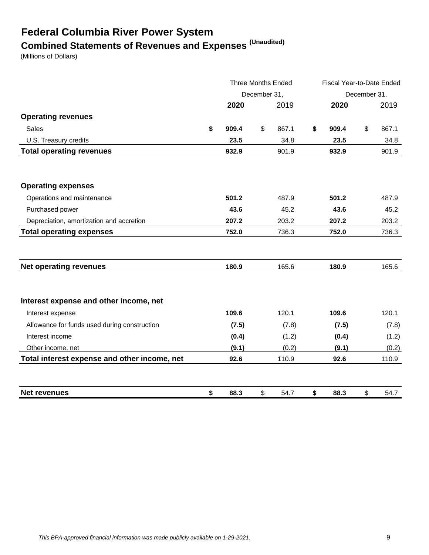# **Federal Columbia River Power System Combined Statements of Revenues and Expenses (Unaudited)**

(Millions of Dollars)

|                                              |             | <b>Three Months Ended</b> |       | Fiscal Year-to-Date Ended |    |       |  |
|----------------------------------------------|-------------|---------------------------|-------|---------------------------|----|-------|--|
|                                              |             | December 31,              |       | December 31,              |    |       |  |
|                                              | 2020        |                           | 2019  | 2020                      |    | 2019  |  |
| <b>Operating revenues</b>                    |             |                           |       |                           |    |       |  |
| <b>Sales</b>                                 | \$<br>909.4 | \$                        | 867.1 | \$<br>909.4               | \$ | 867.1 |  |
| U.S. Treasury credits                        | 23.5        |                           | 34.8  | 23.5                      |    | 34.8  |  |
| <b>Total operating revenues</b>              | 932.9       |                           | 901.9 | 932.9                     |    | 901.9 |  |
| <b>Operating expenses</b>                    |             |                           |       |                           |    |       |  |
| Operations and maintenance                   | 501.2       |                           | 487.9 | 501.2                     |    | 487.9 |  |
| Purchased power                              | 43.6        |                           | 45.2  | 43.6                      |    | 45.2  |  |
| Depreciation, amortization and accretion     | 207.2       |                           | 203.2 | 207.2                     |    | 203.2 |  |
| <b>Total operating expenses</b>              | 752.0       |                           | 736.3 | 752.0                     |    | 736.3 |  |
| <b>Net operating revenues</b>                | 180.9       |                           | 165.6 | 180.9                     |    | 165.6 |  |
| Interest expense and other income, net       |             |                           |       |                           |    |       |  |
| Interest expense                             | 109.6       |                           | 120.1 | 109.6                     |    | 120.1 |  |
| Allowance for funds used during construction | (7.5)       |                           | (7.8) | (7.5)                     |    | (7.8) |  |
| Interest income                              | (0.4)       |                           | (1.2) | (0.4)                     |    | (1.2) |  |
| Other income, net                            | (9.1)       |                           | (0.2) | (9.1)                     |    | (0.2) |  |
| Total interest expense and other income, net | 92.6        |                           | 110.9 | 92.6                      |    | 110.9 |  |
| <b>Net revenues</b>                          | \$<br>88.3  | \$                        | 54.7  | \$<br>88.3                | \$ | 54.7  |  |